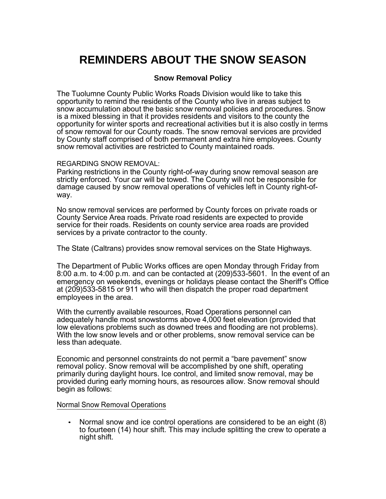# **REMINDERS ABOUT THE SNOW SEASON**

## **Snow Removal Policy**

The Tuolumne County Public Works Roads Division would like to take this opportunity to remind the residents of the County who live in areas subject to snow accumulation about the basic snow removal policies and procedures. Snow is a mixed blessing in that it provides residents and visitors to the county the opportunity for winter sports and recreational activities but it is also costly in terms of snow removal for our County roads. The snow removal services are provided by County staff comprised of both permanent and extra hire employees. County snow removal activities are restricted to County maintained roads.

#### REGARDING SNOW REMOVAL:

Parking restrictions in the County right-of-way during snow removal season are strictly enforced. Your car will be towed. The County will not be responsible for damage caused by snow removal operations of vehicles left in County right-ofway.

No snow removal services are performed by County forces on private roads or County Service Area roads. Private road residents are expected to provide service for their roads. Residents on county service area roads are provided services by a private contractor to the county.

The State (Caltrans) provides snow removal services on the State Highways.

The Department of Public Works offices are open Monday through Friday from 8:00 a.m. to 4:00 p.m. and can be contacted at (209)533-5601. In the event of an emergency on weekends, evenings or holidays please contact the Sheriff's Office at (209)533-5815 or 911 who will then dispatch the proper road department employees in the area.

With the currently available resources, Road Operations personnel can adequately handle most snowstorms above 4,000 feet elevation (provided that low elevations problems such as downed trees and flooding are not problems). With the low snow levels and or other problems, snow removal service can be less than adequate.

Economic and personnel constraints do not permit a "bare pavement" snow removal policy. Snow removal will be accomplished by one shift, operating primarily during daylight hours. Ice control, and limited snow removal, may be provided during early morning hours, as resources allow. Snow removal should begin as follows:

#### Normal Snow Removal Operations

• Normal snow and ice control operations are considered to be an eight (8) to fourteen (14) hour shift. This may include splitting the crew to operate a night shift.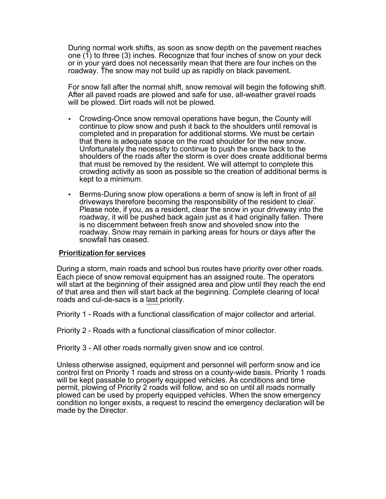During normal work shifts, as soon as snow depth on the pavement reaches one  $(1)$  to three  $(3)$  inches. Recognize that four inches of snow on your deck or in your yard does not necessarily mean that there are four inches on the roadway. The snow may not build up as rapidly on black pavement.

For snow fall after the normal shift, snow removal will begin the following shift. After all paved roads are plowed and safe for use, all-weather gravel roads will be plowed. Dirt roads will not be plowed.

- Crowding-Once snow removal operations have begun, the County will continue to plow snow and push it back to the shoulders until removal is completed and in preparation for additional storms. We must be certain that there is adequate space on the road shoulder for the new snow. Unfortunately the necessity to continue to push the snow back to the shoulders of the roads after the storm is over does create additional berms that must be removed by the resident. We will attempt to complete this crowding activity as soon as possible so the creation of additional berms is kept to a minimum.
- Berms-During snow plow operations a berm of snow is left in front of all driveways therefore becoming the responsibility of the resident to clear. Please note, if you, as a resident, clear the snow in your driveway into the roadway, it will be pushed back again just as it had originally fallen. There is no discernment between fresh snow and shoveled snow into the roadway. Snow may remain in parking areas for hours or days after the snowfall has ceased.

#### **Prioritization for services**

During a storm, main roads and school bus routes have priority over other roads. Each piece of snow removal equipment has an assigned route. The operators will start at the beginning of their assigned area and plow until they reach the end of that area and then will start back at the beginning. Complete clearing of local roads and cul-de-sacs is a last priority.

Priority 1 - Roads with a functional classification of major collector and arterial.

Priority 2 - Roads with a functional classification of minor collector.

Priority 3 - All other roads normally given snow and ice control.

Unless otherwise assigned, equipment and personnel will perform snow and ice control first on Priority 1 roads and stress on a county-wide basis. Priority 1 roads will be kept passable to properly equipped vehicles. As conditions and time permit, plowing of Priority 2 roads will follow, and so on until all roads normally plowed can be used by properly equipped vehicles. When the snow emergency condition no longer exists, a request to rescind the emergency declaration will be made by the Director.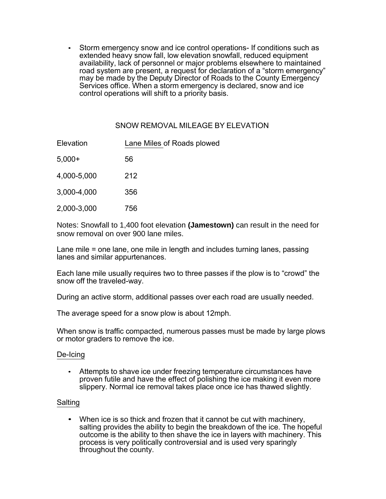• Storm emergency snow and ice control operations- If conditions such as extended heavy snow fall, low elevation snowfall, reduced equipment availability, lack of personnel or major problems elsewhere to maintained road system are present, a request for declaration of a "storm emergency" may be made by the Deputy Director of Roads to the County Emergency Services office. When a storm emergency is declared, snow and ice control operations will shift to a priority basis.

## SNOW REMOVAL MILEAGE BY ELEVATION

| Elevation   | Lane Miles of Roads plowed |
|-------------|----------------------------|
| $5,000+$    | 56                         |
| 4,000-5,000 | 212                        |
| 3,000-4,000 | 356                        |
| 2,000-3,000 | 756                        |

Notes: Snowfall to 1,400 foot elevation **(Jamestown)** can result in the need for snow removal on over 900 lane miles.

Lane mile = one lane, one mile in length and includes turning lanes, passing lanes and similar appurtenances.

Each lane mile usually requires two to three passes if the plow is to "crowd" the snow off the traveled-way.

During an active storm, additional passes over each road are usually needed.

The average speed for a snow plow is about 12mph.

When snow is traffic compacted, numerous passes must be made by large plows or motor graders to remove the ice.

#### De-Icing

• Attempts to shave ice under freezing temperature circumstances have proven futile and have the effect of polishing the ice making it even more slippery. Normal ice removal takes place once ice has thawed slightly.

#### Salting

• When ice is so thick and frozen that it cannot be cut with machinery, salting provides the ability to begin the breakdown of the ice. The hopeful outcome is the ability to then shave the ice in layers with machinery. This process is very politically controversial and is used very sparingly throughout the county.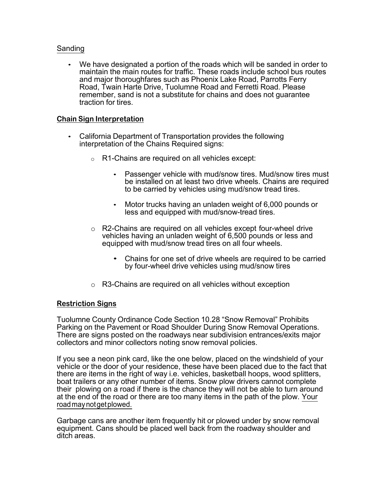## Sanding

• We have designated a portion of the roads which will be sanded in order to maintain the main routes for traffic. These roads include school bus routes and major thoroughfares such as Phoenix Lake Road, Parrotts Ferry Road, Twain Harte Drive, Tuolumne Road and Ferretti Road. Please remember, sand is not a substitute for chains and does not guarantee traction for tires.

### **Chain Sign Interpretation**

- California Department of Transportation provides the following interpretation of the Chains Required signs:
	- o R1-Chains are required on all vehicles except:
		- Passenger vehicle with mud/snow tires. Mud/snow tires must be installed on at least two drive wheels. Chains are required to be carried by vehicles using mud/snow tread tires.
		- Motor trucks having an unladen weight of 6,000 pounds or less and equipped with mud/snow-tread tires.
	- o R2-Chains are required on all vehicles except four-wheel drive vehicles having an unladen weight of 6,500 pounds or less and equipped with mud/snow tread tires on all four wheels.
		- Chains for one set of drive wheels are required to be carried by four-wheel drive vehicles using mud/snow tires
	- o R3-Chains are required on all vehicles without exception

#### **Restriction Signs**

Tuolumne County Ordinance Code Section 10.28 "Snow Removal" Prohibits Parking on the Pavement or Road Shoulder During Snow Removal Operations. There are signs posted on the roadways near subdivision entrances/exits major collectors and minor collectors noting snow removal policies.

If you see a neon pink card, like the one below, placed on the windshield of your vehicle or the door of your residence, these have been placed due to the fact that there are items in the right of way i.e. vehicles, basketball hoops, wood splitters, boat trailers or any other number of items. Snow plow drivers cannot complete their plowing on a road if there is the chance they will not be able to turn around at the end of the road or there are too many items in the path of the plow. Your roadmaynotgetplowed.

Garbage cans are another item frequently hit or plowed under by snow removal equipment. Cans should be placed well back from the roadway shoulder and ditch areas.